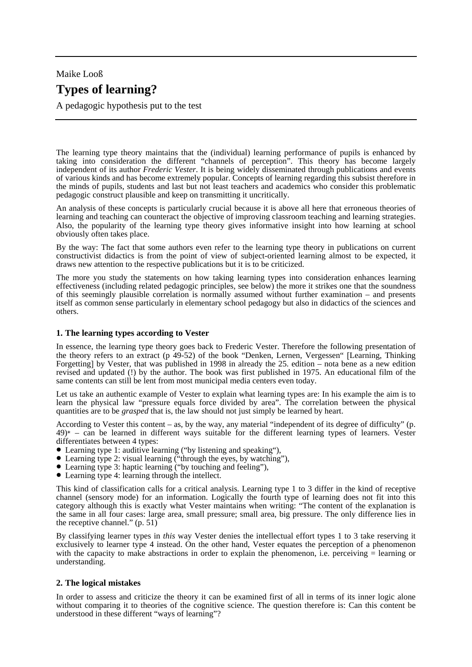# Maike Looß **Types of learning?**

A pedagogic hypothesis put to the test

The learning type theory maintains that the (individual) learning performance of pupils is enhanced by taking into consideration the different "channels of perception". This theory has become largely independent of its author *Frederic Vester*. It is being widely disseminated through publications and events of various kinds and has become extremely popular. Concepts of learning regarding this subsist therefore in the minds of pupils, students and last but not least teachers and academics who consider this problematic pedagogic construct plausible and keep on transmitting it uncritically.

An analysis of these concepts is particularly crucial because it is above all here that erroneous theories of learning and teaching can counteract the objective of improving classroom teaching and learning strategies. Also, the popularity of the learning type theory gives informative insight into how learning at school obviously often takes place.

By the way: The fact that some authors even refer to the learning type theory in publications on current constructivist didactics is from the point of view of subject-oriented learning almost to be expected, it draws new attention to the respective publications but it is to be criticized.

The more you study the statements on how taking learning types into consideration enhances learning effectiveness (including related pedagogic principles, see below) the more it strikes one that the soundness of this seemingly plausible correlation is normally assumed without further examination – and presents itself as common sense particularly in elementary school pedagogy but also in didactics of the sciences and others.

## **1. The learning types according to Vester**

In essence, the learning type theory goes back to Frederic Vester. Therefore the following presentation of the theory refers to an extract (p 49-52) of the book "Denken, Lernen, Vergessen" [Learning, Thinking Forgetting] by Vester, that was published in 1998 in already the 25. edition – nota bene as a new edition revised and updated (!) by the author. The book was first published in 1975. An educational film of the same contents can still be lent from most municipal media centers even today.

Let us take an authentic example of Vester to explain what learning types are: In his example the aim is to learn the physical law "pressure equals force divided by area". The correlation between the physical quantities are to be *grasped* that is, the law should not just simply be learned by heart.

According to Vester this content – as, by the way, any material "independent of its degree of difficulty" (p.  $(49)^*$  – can be learned in different ways suitable for the different learning types of learners. Vester differentiates between 4 types:

- Learning type 1: auditive learning ("by listening and speaking"),
- Learning type 2: visual learning ("through the eyes, by watching"),
- Learning type 3: haptic learning ("by touching and feeling"),
- Learning type 4: learning through the intellect.

This kind of classification calls for a critical analysis. Learning type 1 to 3 differ in the kind of receptive channel (sensory mode) for an information. Logically the fourth type of learning does not fit into this category although this is exactly what Vester maintains when writing: "The content of the explanation is the same in all four cases: large area, small pressure; small area, big pressure. The only difference lies in the receptive channel." (p. 51)

By classifying learner types in *this* way Vester denies the intellectual effort types 1 to 3 take reserving it exclusively to learner type 4 instead. On the other hand, Vester equates the perception of a phenomenon with the capacity to make abstractions in order to explain the phenomenon, i.e. perceiving = learning or understanding.

## **2. The logical mistakes**

In order to assess and criticize the theory it can be examined first of all in terms of its inner logic alone without comparing it to theories of the cognitive science. The question therefore is: Can this content be understood in these different "ways of learning"?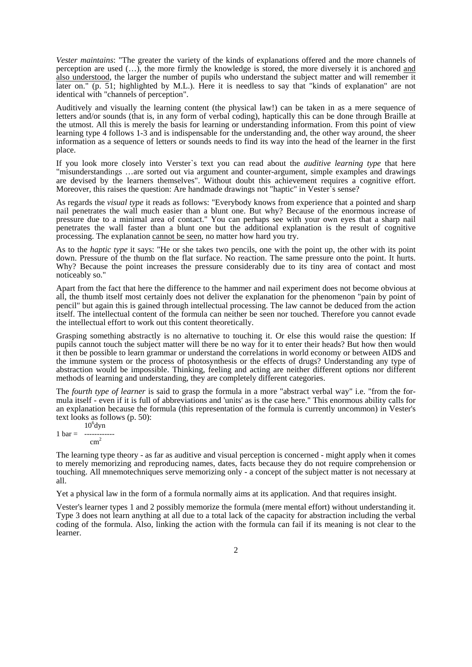*Vester maintains*: "The greater the variety of the kinds of explanations offered and the more channels of perception are used (…), the more firmly the knowledge is stored, the more diversely it is anchored and also understood, the larger the number of pupils who understand the subject matter and will remember it later on." (p. 51; highlighted by M.L.). Here it is needless to say that "kinds of explanation" are not identical with "channels of perception".

Auditively and visually the learning content (the physical law!) can be taken in as a mere sequence of letters and/or sounds (that is, in any form of verbal coding), haptically this can be done through Braille at the utmost. All this is merely the basis for learning or understanding information. From this point of view learning type 4 follows 1-3 and is indispensable for the understanding and, the other way around, the sheer information as a sequence of letters or sounds needs to find its way into the head of the learner in the first place.

If you look more closely into Verster`s text you can read about the *auditive learning type* that here "misunderstandings …are sorted out via argument and counter-argument, simple examples and drawings are devised by the learners themselves". Without doubt this achievement requires a cognitive effort. Moreover, this raises the question: Are handmade drawings not "haptic" in Vester's sense?

As regards the *visual type* it reads as follows: "Everybody knows from experience that a pointed and sharp nail penetrates the wall much easier than a blunt one. But why? Because of the enormous increase of pressure due to a minimal area of contact." You can perhaps see with your own eyes that a sharp nail penetrates the wall faster than a blunt one but the additional explanation is the result of cognitive processing. The explanation cannot be seen, no matter how hard you try.

As to the *haptic type* it says: "He or she takes two pencils, one with the point up, the other with its point down. Pressure of the thumb on the flat surface. No reaction. The same pressure onto the point. It hurts. Why? Because the point increases the pressure considerably due to its tiny area of contact and most noticeably so."

Apart from the fact that here the difference to the hammer and nail experiment does not become obvious at all, the thumb itself most certainly does not deliver the explanation for the phenomenon "pain by point of pencil" but again this is gained through intellectual processing. The law cannot be deduced from the action itself. The intellectual content of the formula can neither be seen nor touched. Therefore you cannot evade the intellectual effort to work out this content theoretically.

Grasping something abstractly is no alternative to touching it. Or else this would raise the question: If pupils cannot touch the subject matter will there be no way for it to enter their heads? But how then would it then be possible to learn grammar or understand the correlations in world economy or between AIDS and the immune system or the process of photosynthesis or the effects of drugs? Understanding any type of abstraction would be impossible. Thinking, feeling and acting are neither different options nor different methods of learning and understanding, they are completely different categories.

The *fourth type of learner* is said to grasp the formula in a more "abstract verbal way" i.e. "from the formula itself - even if it is full of abbreviations and 'units' as is the case here." This enormous ability calls for an explanation because the formula (this representation of the formula is currently uncommon) in Vester's text looks as follows (p. 50):

 $10^6$ dyn  $1 \text{ bar} =$  ----------- $cm<sup>2</sup>$ 

The learning type theory - as far as auditive and visual perception is concerned - might apply when it comes to merely memorizing and reproducing names, dates, facts because they do not require comprehension or touching. All mnemotechniques serve memorizing only - a concept of the subject matter is not necessary at all.

Yet a physical law in the form of a formula normally aims at its application. And that requires insight.

Vester's learner types 1 and 2 possibly memorize the formula (mere mental effort) without understanding it. Type 3 does not learn anything at all due to a total lack of the capacity for abstraction including the verbal coding of the formula. Also, linking the action with the formula can fail if its meaning is not clear to the learner.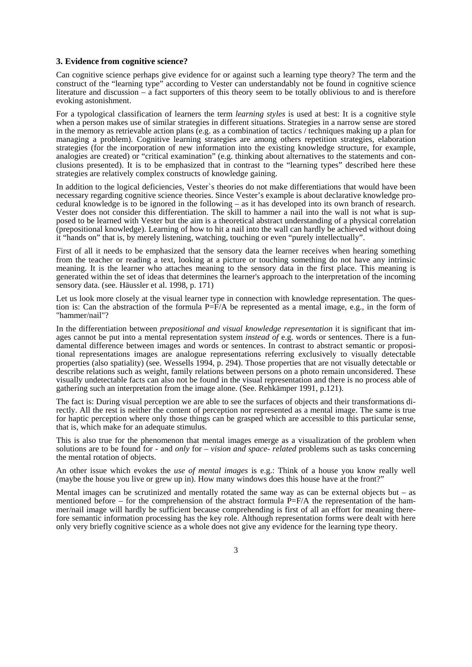#### **3. Evidence from cognitive science?**

Can cognitive science perhaps give evidence for or against such a learning type theory? The term and the construct of the "learning type" according to Vester can understandably not be found in cognitive science literature and discussion – a fact supporters of this theory seem to be totally oblivious to and is therefore evoking astonishment.

For a typological classification of learners the term *learning styles* is used at best: It is a cognitive style when a person makes use of similar strategies in different situations. Strategies in a narrow sense are stored in the memory as retrievable action plans (e.g. as a combination of tactics / techniques making up a plan for managing a problem). Cognitive learning strategies are among others repetition strategies, elaboration strategies (for the incorporation of new information into the existing knowledge structure, for example, analogies are created) or "critical examination" (e.g. thinking about alternatives to the statements and conclusions presented). It is to be emphasized that in contrast to the "learning types" described here these strategies are relatively complex constructs of knowledge gaining.

In addition to the logical deficiencies, Vester`s theories do not make differentiations that would have been necessary regarding cognitive science theories. Since Vester's example is about declarative knowledge procedural knowledge is to be ignored in the following – as it has developed into its own branch of research. Vester does not consider this differentiation. The skill to hammer a nail into the wall is not what is supposed to be learned with Vester but the aim is a theoretical abstract understanding of a physical correlation (prepositional knowledge). Learning of how to hit a nail into the wall can hardly be achieved without doing it "hands on" that is, by merely listening, watching, touching or even "purely intellectually".

First of all it needs to be emphasized that the sensory data the learner receives when hearing something from the teacher or reading a text, looking at a picture or touching something do not have any intrinsic meaning. It is the learner who attaches meaning to the sensory data in the first place. This meaning is generated within the set of ideas that determines the learner's approach to the interpretation of the incoming sensory data. (see. Häussler et al. 1998, p. 171)

Let us look more closely at the visual learner type in connection with knowledge representation. The question is: Can the abstraction of the formula  $P=\hat{F}/A$  be represented as a mental image, e.g., in the form of "hammer/nail"?

In the differentiation between *prepositional and visual knowledge representation* it is significant that images cannot be put into a mental representation system *instead of* e.g. words or sentences. There is a fundamental difference between images and words or sentences. In contrast to abstract semantic or propositional representations images are analogue representations referring exclusively to visually detectable properties (also spatiality) (see. Wessells 1994, p. 294). Those properties that are not visually detectable or describe relations such as weight, family relations between persons on a photo remain unconsidered. These visually undetectable facts can also not be found in the visual representation and there is no process able of gathering such an interpretation from the image alone. (See. Rehkämper 1991, p.121).

The fact is: During visual perception we are able to see the surfaces of objects and their transformations directly. All the rest is neither the content of perception nor represented as a mental image. The same is true for haptic perception where only those things can be grasped which are accessible to this particular sense, that is, which make for an adequate stimulus.

This is also true for the phenomenon that mental images emerge as a visualization of the problem when solutions are to be found for - and *only* for – *vision and space- related* problems such as tasks concerning the mental rotation of objects.

An other issue which evokes the *use of mental images* is e.g.: Think of a house you know really well (maybe the house you live or grew up in). How many windows does this house have at the front?"

Mental images can be scrutinized and mentally rotated the same way as can be external objects but  $-$  as mentioned before – for the comprehension of the abstract formula  $\vec{P} = F/A$  the representation of the hammer/nail image will hardly be sufficient because comprehending is first of all an effort for meaning therefore semantic information processing has the key role. Although representation forms were dealt with here only very briefly cognitive science as a whole does not give any evidence for the learning type theory.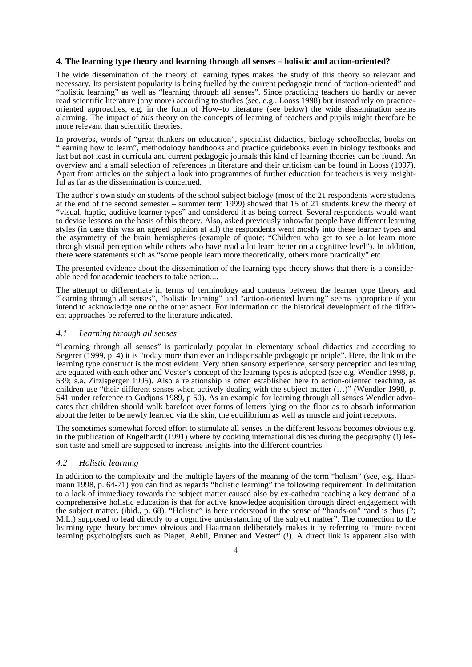#### **4. The learning type theory and learning through all senses – holistic and action-oriented?**

The wide dissemination of the theory of learning types makes the study of this theory so relevant and necessary. Its persistent popularity is being fuelled by the current pedagogic trend of "action-oriented" and "holistic learning" as well as "learning through all senses". Since practicing teachers do hardly or never read scientific literature (any more) according to studies (see. e.g.. Looss 1998) but instead rely on practiceoriented approaches, e.g. in the form of How–to literature (see below) the wide dissemination seems alarming. The impact of *this* theory on the concepts of learning of teachers and pupils might therefore be more relevant than scientific theories.

In proverbs, words of "great thinkers on education", specialist didactics, biology schoolbooks, books on "learning how to learn", methodology handbooks and practice guidebooks even in biology textbooks and last but not least in curricula and current pedagogic journals this kind of learning theories can be found. An overview and a small selection of references in literature and their criticism can be found in Looss (1997). Apart from articles on the subject a look into programmes of further education for teachers is very insightful as far as the dissemination is concerned.

The author's own study on students of the school subject biology (most of the 21 respondents were students at the end of the second semester – summer term 1999) showed that 15 of 21 students knew the theory of "visual, haptic, auditive learner types" and considered it as being correct. Several respondents would want to devise lessons on the basis of this theory. Also, asked previously inhowfar people have different learning styles (in case this was an agreed opinion at all) the respondents went mostly into these learner types and the asymmetry of the brain hemispheres (example of quote: "Children who get to see a lot learn more through visual perception while others who have read a lot learn better on a cognitive level"). In addition, there were statements such as "some people learn more theoretically, others more practically" etc.

The presented evidence about the dissemination of the learning type theory shows that there is a considerable need for academic teachers to take action....

The attempt to differentiate in terms of terminology and contents between the learner type theory and "learning through all senses", "holistic learning" and "action-oriented learning" seems appropriate if you intend to acknowledge one or the other aspect. For information on the historical development of the different approaches be referred to the literature indicated.

#### *4.1 Learning through all senses*

"Learning through all senses" is particularly popular in elementary school didactics and according to Segerer (1999, p. 4) it is "today more than ever an indispensable pedagogic principle". Here, the link to the learning type construct is the most evident. Very often sensory experience, sensory perception and learning are equated with each other and Vester's concept of the learning types is adopted (see e.g. Wendler 1998, p. 539; s.a. Zitzlsperger 1995). Also a relationship is often established here to action-oriented teaching, as children use "their different senses when actively dealing with the subject matter  $(\ldots)$ " (Wendler 1998, p. 541 under reference to Gudjons 1989, p 50). As an example for learning through all senses Wendler advocates that children should walk barefoot over forms of letters lying on the floor as to absorb information about the letter to be newly learned via the skin, the equilibrium as well as muscle and joint receptors.

The sometimes somewhat forced effort to stimulate all senses in the different lessons becomes obvious e.g. in the publication of Engelhardt (1991) where by cooking international dishes during the geography (!) lesson taste and smell are supposed to increase insights into the different countries.

### *4.2 Holistic learning*

In addition to the complexity and the multiple layers of the meaning of the term "holism" (see, e.g. Haarmann 1998, p. 64-71) you can find as regards "holistic learning" the following requirement: In delimitation to a lack of immediacy towards the subject matter caused also by ex-cathedra teaching a key demand of a comprehensive holistic education is that for active knowledge acquisition through direct engagement with the subject matter. (ibid., p. 68). "Holistic" is here understood in the sense of "hands-on" "and is thus (?; M.L.) supposed to lead directly to a cognitive understanding of the subject matter". The connection to the learning type theory becomes obvious and Haarmann deliberately makes it by referring to "more recent learning psychologists such as Piaget, Aebli, Bruner and Vester" (!). A direct link is apparent also with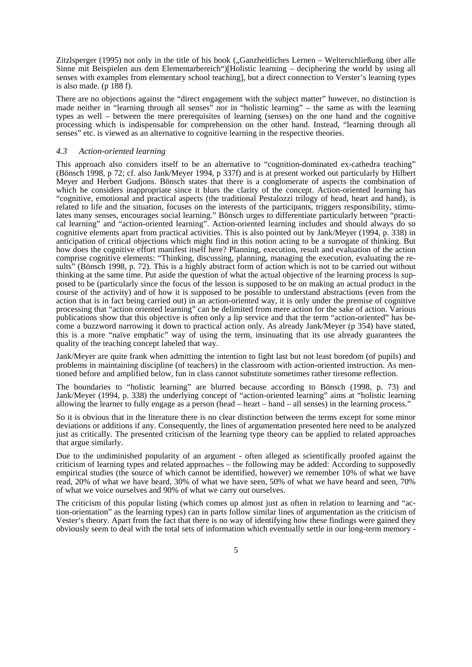Zitzlsperger (1995) not only in the title of his book ("Ganzheitliches Lernen – Welterschließung über alle Sinne mit Beispielen aus dem Elementarbereich")[Holistic learning – deciphering the world by using all senses with examples from elementary school teaching], but a direct connection to Verster's learning types is also made. ( $p \overline{188}$  f).

There are no objections against the "direct engagement with the subject matter" however, no distinction is made neither in "learning through all senses" nor in "holistic learning" – the same as with the learning types as well – between the mere prerequisites of learning (senses) on the one hand and the cognitive processing which is indispensable for comprehension on the other hand. Instead, "learning through all senses" etc. is viewed as an alternative to cognitive learning in the respective theories.

### *4.3 Action-oriented learning*

This approach also considers itself to be an alternative to "cognition-dominated ex-cathedra teaching" (Bönsch 1998, p 72; cf. also Jank/Meyer 1994, p 337f) and is at present worked out particularly by Hilbert Meyer and Herbert Gudjons. Bönsch states that there is a conglomerate of aspects the combination of which he considers inappropriate since it blurs the clarity of the concept. Action-oriented learning has "cognitive, emotional and practical aspects (the traditional Pestalozzi trilogy of head, heart and hand), is related to life and the situation, focuses on the interests of the participants, triggers responsibility, stimulates many senses, encourages social learning." Bönsch urges to differentiate particularly between "practical learning" and "action-oriented learning". Action-oriented learning includes and should always do so cognitive elements apart from practical activities. This is also pointed out by Jank/Meyer (1994, p. 338) in anticipation of critical objections which might find in this notion acting to be a surrogate of thinking. But how does the cognitive effort manifest itself here? Planning, execution, result and evaluation of the action comprise cognitive elements: "Thinking, discussing, planning, managing the execution, evaluating the results" (Bönsch 1998, p. 72). This is a highly abstract form of action which is not to be carried out without thinking at the same time. Put aside the question of what the actual objective of the learning process is supposed to be (particularly since the focus of the lesson is supposed to be on making an actual product in the course of the activity) and of how it is supposed to be possible to understand abstractions (even from the action that is in fact being carried out) in an action-oriented way, it is only under the premise of cognitive processing that "action oriented learning" can be delimited from mere action for the sake of action. Various publications show that this objective is often only a lip service and that the term "action-oriented" has become a buzzword narrowing it down to practical action only. As already Jank/Meyer (p 354) have stated, this is a more "naïve emphatic" way of using the term, insinuating that its use already guarantees the quality of the teaching concept labeled that way.

Jank/Meyer are quite frank when admitting the intention to fight last but not least boredom (of pupils) and problems in maintaining discipline (of teachers) in the classroom with action-oriented instruction. As mentioned before and amplified below, fun in class cannot substitute sometimes rather tiresome reflection.

The boundaries to "holistic learning" are blurred because according to Bönsch (1998, p. 73) and Jank/Meyer (1994, p. 338) the underlying concept of "action-oriented learning" aims at "holistic learning allowing the learner to fully engage as a person (head – heart – hand – all senses) in the learning process."

So it is obvious that in the literature there is no clear distinction between the terms except for some minor deviations or additions if any. Consequently, the lines of argumentation presented here need to be analyzed just as critically. The presented criticism of the learning type theory can be applied to related approaches that argue similarly.

Due to the undiminished popularity of an argument - often alleged as scientifically proofed against the criticism of learning types and related approaches – the following may be added: According to supposedly empirical studies (the source of which cannot be identified, however) we remember 10% of what we have read, 20% of what we have heard, 30% of what we have seen, 50% of what we have heard and seen, 70% of what we voice ourselves and 90% of what we carry out ourselves.

The criticism of this popular listing (which comes up almost just as often in relation to learning and "action-orientation" as the learning types) can in parts follow similar lines of argumentation as the criticism of Vester's theory. Apart from the fact that there is no way of identifying how these findings were gained they obviously seem to deal with the total sets of information which eventually settle in our long-term memory -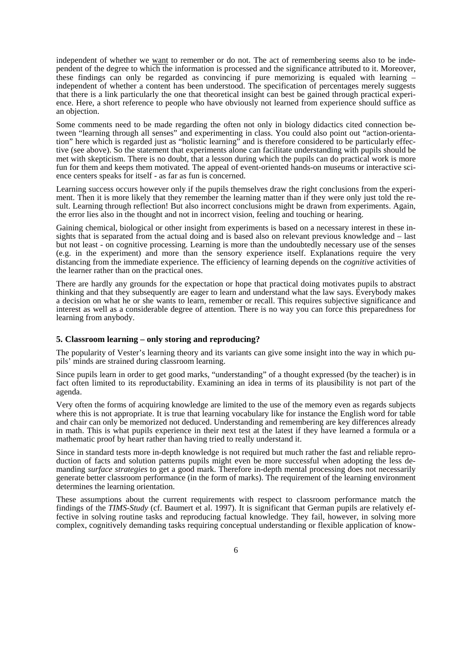independent of whether we want to remember or do not. The act of remembering seems also to be independent of the degree to which the information is processed and the significance attributed to it. Moreover, these findings can only be regarded as convincing if pure memorizing is equaled with learning – independent of whether a content has been understood. The specification of percentages merely suggests that there is a link particularly the one that theoretical insight can best be gained through practical experience. Here, a short reference to people who have obviously not learned from experience should suffice as an objection.

Some comments need to be made regarding the often not only in biology didactics cited connection between "learning through all senses" and experimenting in class. You could also point out "action-orientation" here which is regarded just as "holistic learning" and is therefore considered to be particularly effective (see above). So the statement that experiments alone can facilitate understanding with pupils should be met with skepticism. There is no doubt, that a lesson during which the pupils can do practical work is more fun for them and keeps them motivated. The appeal of event-oriented hands-on museums or interactive science centers speaks for itself - as far as fun is concerned.

Learning success occurs however only if the pupils themselves draw the right conclusions from the experiment. Then it is more likely that they remember the learning matter than if they were only just told the result. Learning through reflection! But also incorrect conclusions might be drawn from experiments. Again, the error lies also in the thought and not in incorrect vision, feeling and touching or hearing.

Gaining chemical, biological or other insight from experiments is based on a necessary interest in these insights that is separated from the actual doing and is based also on relevant previous knowledge and – last but not least - on cognitive processing. Learning is more than the undoubtedly necessary use of the senses (e.g. in the experiment) and more than the sensory experience itself. Explanations require the very distancing from the immediate experience. The efficiency of learning depends on the *cognitive* activities of the learner rather than on the practical ones.

There are hardly any grounds for the expectation or hope that practical doing motivates pupils to abstract thinking and that they subsequently are eager to learn and understand what the law says. Everybody makes a decision on what he or she wants to learn, remember or recall. This requires subjective significance and interest as well as a considerable degree of attention. There is no way you can force this preparedness for learning from anybody.

## **5. Classroom learning – only storing and reproducing?**

The popularity of Vester's learning theory and its variants can give some insight into the way in which pupils' minds are strained during classroom learning.

Since pupils learn in order to get good marks, "understanding" of a thought expressed (by the teacher) is in fact often limited to its reproductability. Examining an idea in terms of its plausibility is not part of the agenda.

Very often the forms of acquiring knowledge are limited to the use of the memory even as regards subjects where this is not appropriate. It is true that learning vocabulary like for instance the English word for table and chair can only be memorized not deduced. Understanding and remembering are key differences already in math. This is what pupils experience in their next test at the latest if they have learned a formula or a mathematic proof by heart rather than having tried to really understand it.

Since in standard tests more in-depth knowledge is not required but much rather the fast and reliable reproduction of facts and solution patterns pupils might even be more successful when adopting the less demanding *surface strategies* to get a good mark. Therefore in-depth mental processing does not necessarily generate better classroom performance (in the form of marks). The requirement of the learning environment determines the learning orientation.

These assumptions about the current requirements with respect to classroom performance match the findings of the *TIMS-Study* (cf. Baumert et al. 1997). It is significant that German pupils are relatively effective in solving routine tasks and reproducing factual knowledge. They fail, however, in solving more complex, cognitively demanding tasks requiring conceptual understanding or flexible application of know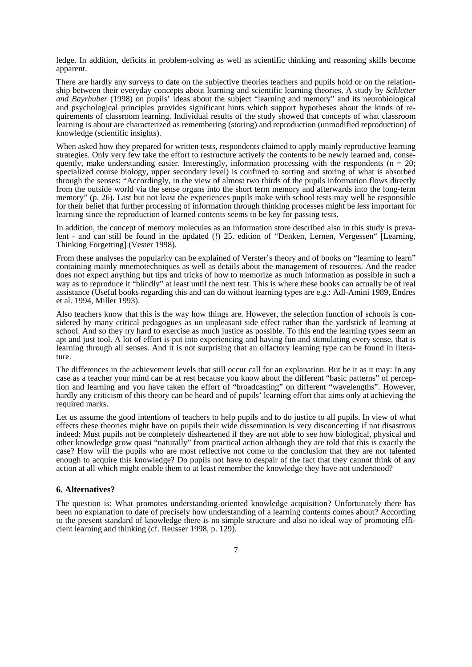ledge. In addition, deficits in problem-solving as well as scientific thinking and reasoning skills become apparent.

There are hardly any surveys to date on the subjective theories teachers and pupils hold or on the relationship between their everyday concepts about learning and scientific learning theories. A study by *Schletter and Bayrhuber* (1998) on pupils' ideas about the subject "learning and memory" and its neurobiological and psychological principles provides significant hints which support hypotheses about the kinds of requirements of classroom learning. Individual results of the study showed that concepts of what classroom learning is about are characterized as remembering (storing) and reproduction (unmodified reproduction) of knowledge (scientific insights).

When asked how they prepared for written tests, respondents claimed to apply mainly reproductive learning strategies. Only very few take the effort to restructure actively the contents to be newly learned and, consequently, make understanding easier. Interestingly, information processing with the respondents ( $n = 20$ ; specialized course biology, upper secondary level) is confined to sorting and storing of what is absorbed through the senses: "Accordingly, in the view of almost two thirds of the pupils information flows directly from the outside world via the sense organs into the short term memory and afterwards into the long-term memory" (p. 26). Last but not least the experiences pupils make with school tests may well be responsible for their belief that further processing of information through thinking processes might be less important for learning since the reproduction of learned contents seems to be key for passing tests.

In addition, the concept of memory molecules as an information store described also in this study is prevalent - and can still be found in the updated (!) 25. edition of "Denken, Lernen, Vergessen" [Learning, Thinking Forgetting] (Vester 1998).

From these analyses the popularity can be explained of Verster's theory and of books on "learning to learn" containing mainly mnemotechniques as well as details about the management of resources. And the reader does not expect anything but tips and tricks of how to memorize as much information as possible in such a way as to reproduce it "blindly" at least until the next test. This is where these books can actually be of real assistance (Useful books regarding this and can do without learning types are e.g.: Adl-Amini 1989, Endres et al. 1994, Miller 1993).

Also teachers know that this is the way how things are. However, the selection function of schools is considered by many critical pedagogues as un unpleasant side effect rather than the yardstick of learning at school. And so they try hard to exercise as much justice as possible. To this end the learning types seem an apt and just tool. A lot of effort is put into experiencing and having fun and stimulating every sense, that is learning through all senses. And it is not surprising that an olfactory learning type can be found in literature.

The differences in the achievement levels that still occur call for an explanation. But be it as it may: In any case as a teacher your mind can be at rest because you know about the different "basic patterns" of perception and learning and you have taken the effort of "broadcasting" on different "wavelengths". However, hardly any criticism of this theory can be heard and of pupils' learning effort that aims only at achieving the required marks.

Let us assume the good intentions of teachers to help pupils and to do justice to all pupils. In view of what effects these theories might have on pupils their wide dissemination is very disconcerting if not disastrous indeed: Must pupils not be completely disheartened if they are not able to see how biological, physical and other knowledge grow quasi "naturally" from practical action although they are told that this is exactly the case? How will the pupils who are most reflective not come to the conclusion that they are not talented enough to acquire this knowledge? Do pupils not have to despair of the fact that they cannot think of any action at all which might enable them to at least remember the knowledge they have not understood?

## **6. Alternatives?**

The question is: What promotes understanding-oriented knowledge acquisition? Unfortunately there has been no explanation to date of precisely how understanding of a learning contents comes about? According to the present standard of knowledge there is no simple structure and also no ideal way of promoting efficient learning and thinking (cf. Reusser 1998, p. 129).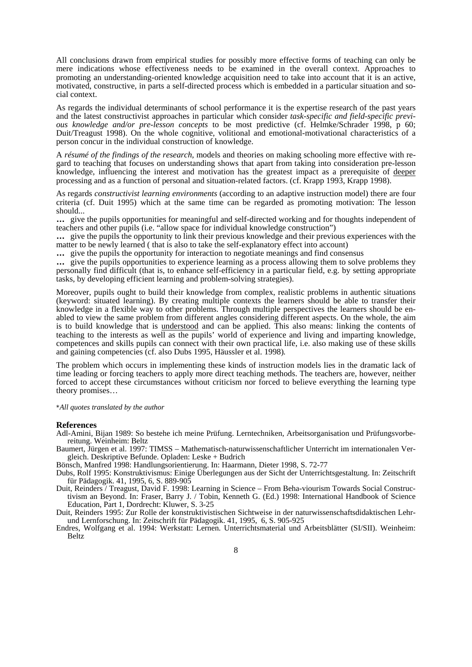All conclusions drawn from empirical studies for possibly more effective forms of teaching can only be mere indications whose effectiveness needs to be examined in the overall context. Approaches to promoting an understanding-oriented knowledge acquisition need to take into account that it is an active, motivated, constructive, in parts a self-directed process which is embedded in a particular situation and social context.

As regards the individual determinants of school performance it is the expertise research of the past years and the latest constructivist approaches in particular which consider *task-specific and field-specific previous knowledge and/or pre-lesson concepts* to be most predictive (cf. Helmke/Schrader 1998, p 60; Duit/Treagust 1998). On the whole cognitive, volitional and emotional-motivational characteristics of a person concur in the individual construction of knowledge.

A *résumé of the findings of the research*, models and theories on making schooling more effective with regard to teaching that focuses on understanding shows that apart from taking into consideration pre-lesson knowledge, influencing the interest and motivation has the greatest impact as a prerequisite of deeper processing and as a function of personal and situation-related factors. (cf. Krapp 1993, Krapp 1998).

As regards *constructivist learning environments* (according to an adaptive instruction model) there are four criteria (cf. Duit 1995) which at the same time can be regarded as promoting motivation: The lesson should...

**…** give the pupils opportunities for meaningful and self-directed working and for thoughts independent of teachers and other pupils (i.e. "allow space for individual knowledge construction")

**…** give the pupils the opportunity to link their previous knowledge and their previous experiences with the matter to be newly learned ( that is also to take the self-explanatory effect into account)

**…** give the pupils the opportunity for interaction to negotiate meanings and find consensus

**…** give the pupils opportunities to experience learning as a process allowing them to solve problems they personally find difficult (that is, to enhance self-efficiency in a particular field, e.g. by setting appropriate tasks, by developing efficient learning and problem-solving strategies).

Moreover, pupils ought to build their knowledge from complex, realistic problems in authentic situations (keyword: situated learning). By creating multiple contexts the learners should be able to transfer their knowledge in a flexible way to other problems. Through multiple perspectives the learners should be enabled to view the same problem from different angles considering different aspects. On the whole, the aim is to build knowledge that is understood and can be applied. This also means: linking the contents of teaching to the interests as well as the pupils' world of experience and living and imparting knowledge, competences and skills pupils can connect with their own practical life, i.e. also making use of these skills and gaining competencies (cf. also Dubs 1995, Häussler et al. 1998)*.*

The problem which occurs in implementing these kinds of instruction models lies in the dramatic lack of time leading or forcing teachers to apply more direct teaching methods. The teachers are, however, neither forced to accept these circumstances without criticism nor forced to believe everything the learning type theory promises…

\**All quotes translated by the author* 

#### **References**

Adl-Amini, Bijan 1989: So bestehe ich meine Prüfung. Lerntechniken, Arbeitsorganisation und Prüfungsvorbereitung. Weinheim: Beltz

Baumert, Jürgen et al. 1997: TIMSS – Mathematisch-naturwissenschaftlicher Unterricht im internationalen Vergleich. Deskriptive Befunde. Opladen: Leske + Budrich

Bönsch, Manfred 1998: Handlungsorientierung. In: Haarmann, Dieter 1998, S. 72-77

- Dubs, Rolf 1995: Konstruktivismus: Einige Überlegungen aus der Sicht der Unterrichtsgestaltung. In: Zeitschrift für Pädagogik. 41, 1995, 6, S. 889-905
- Duit, Reinders / Treagust, David F. 1998: Learning in Science From Beha-viourism Towards Social Constructivism an Beyond. In: Fraser, Barry J. / Tobin, Kenneth G. (Ed.) 1998: International Handbook of Science Education, Part 1, Dordrecht: Kluwer, S. 3-25

Duit, Reinders 1995: Zur Rolle der konstruktivistischen Sichtweise in der naturwissenschaftsdidaktischen Lehrund Lernforschung. In: Zeitschrift für Pädagogik. 41, 1995, 6, S. 905-925

Endres, Wolfgang et al. 1994: Werkstatt: Lernen. Unterrichtsmaterial und Arbeitsblätter (SI/SII). Weinheim: Beltz